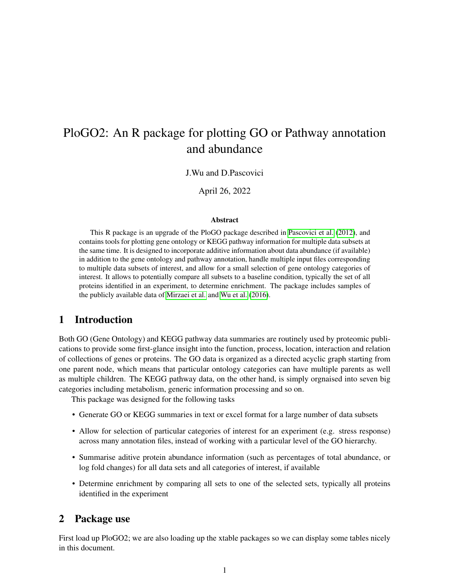# PloGO2: An R package for plotting GO or Pathway annotation and abundance

### J.Wu and D.Pascovici

April 26, 2022

#### Abstract

This R package is an upgrade of the PloGO package described in [Pascovici et al.](#page-12-0) [\(2012\)](#page-12-0), and contains tools for plotting gene ontology or KEGG pathway information for multiple data subsets at the same time. It is designed to incorporate additive information about data abundance (if available) in addition to the gene ontology and pathway annotation, handle multiple input files corresponding to multiple data subsets of interest, and allow for a small selection of gene ontology categories of interest. It allows to potentially compare all subsets to a baseline condition, typically the set of all proteins identified in an experiment, to determine enrichment. The package includes samples of the publicly available data of [Mirzaei et al.](#page-12-1) and [Wu et al.](#page-12-2) [\(2016\)](#page-12-2).

# 1 Introduction

Both GO (Gene Ontology) and KEGG pathway data summaries are routinely used by proteomic publications to provide some first-glance insight into the function, process, location, interaction and relation of collections of genes or proteins. The GO data is organized as a directed acyclic graph starting from one parent node, which means that particular ontology categories can have multiple parents as well as multiple children. The KEGG pathway data, on the other hand, is simply orgnaised into seven big categories including metabolism, generic information processing and so on.

This package was designed for the following tasks

- Generate GO or KEGG summaries in text or excel format for a large number of data subsets
- Allow for selection of particular categories of interest for an experiment (e.g. stress response) across many annotation files, instead of working with a particular level of the GO hierarchy.
- Summarise aditive protein abundance information (such as percentages of total abundance, or log fold changes) for all data sets and all categories of interest, if available
- Determine enrichment by comparing all sets to one of the selected sets, typically all proteins identified in the experiment

# 2 Package use

First load up PloGO2; we are also loading up the xtable packages so we can display some tables nicely in this document.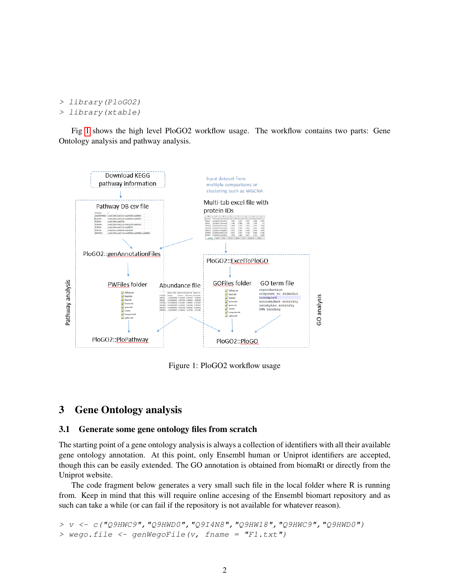```
> library(PloGO2)
> library(xtable)
```
Fig [1](#page-1-0) shows the high level PloGO2 workflow usage. The workflow contains two parts: Gene Ontology analysis and pathway analysis.



<span id="page-1-0"></span>Figure 1: PloGO2 workflow usage

# 3 Gene Ontology analysis

## <span id="page-1-1"></span>3.1 Generate some gene ontology files from scratch

The starting point of a gene ontology analysis is always a collection of identifiers with all their available gene ontology annotation. At this point, only Ensembl human or Uniprot identifiers are accepted, though this can be easily extended. The GO annotation is obtained from biomaRt or directly from the Uniprot website.

The code fragment below generates a very small such file in the local folder where R is running from. Keep in mind that this will require online accesing of the Ensembl biomart repository and as such can take a while (or can fail if the repository is not available for whatever reason).

```
> v <- c("Q9HWC9","Q9HWD0","Q9I4N8","Q9HW18","Q9HWC9","Q9HWD0")
> wego.file <- genWegoFile(v, fname = "F1.txt")
```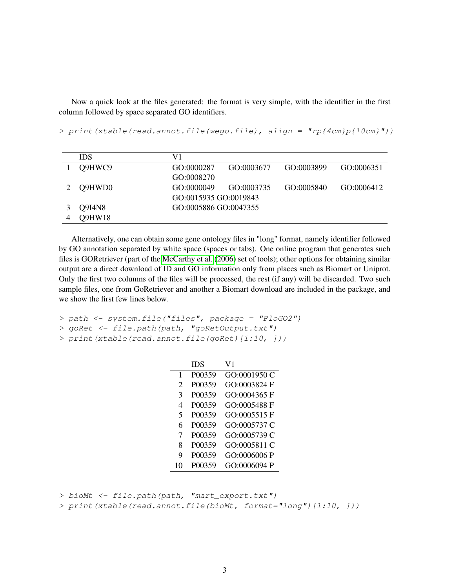Now a quick look at the files generated: the format is very simple, with the identifier in the first column followed by space separated GO identifiers.

> print(xtable(read.annot.file(wego.file), align = "rp{4cm}p{10cm}"))

| <b>IDS</b> | V1                    |            |            |            |
|------------|-----------------------|------------|------------|------------|
| O9HWC9     | GO:0000287            | GO:0003677 | GO:0003899 | GO:0006351 |
|            | GO:0008270            |            |            |            |
| Q9HWD0     | GO:0000049            | GO:0003735 | GO:0005840 | GO:0006412 |
|            | GO:0015935 GO:0019843 |            |            |            |
| Q9I4N8     | GO:0005886 GO:0047355 |            |            |            |
| Q9HW18     |                       |            |            |            |

Alternatively, one can obtain some gene ontology files in "long" format, namely identifier followed by GO annotation separated by white space (spaces or tabs). One online program that generates such files is GORetriever (part of the [McCarthy et al.](#page-12-3) [\(2006\)](#page-12-3) set of tools); other options for obtaining similar output are a direct download of ID and GO information only from places such as Biomart or Uniprot. Only the first two columns of the files will be processed, the rest (if any) will be discarded. Two such sample files, one from GoRetriever and another a Biomart download are included in the package, and we show the first few lines below.

```
> path <- system.file("files", package = "PloGO2")
```

```
> goRet <- file.path(path, "goRetOutput.txt")
```

```
> print(xtable(read.annot.file(goRet)[1:10, ]))
```

|                         | IDS    | V1           |
|-------------------------|--------|--------------|
| 1                       | P00359 | GO:0001950 C |
| $\mathfrak{D}$          | P00359 | GO:0003824 F |
| 3                       | P00359 | GO:0004365 F |
| 4                       | P00359 | GO:0005488 F |
| $\overline{\mathbf{5}}$ | P00359 | GO:0005515F  |
| 6                       | P00359 | GO:0005737 C |
| 7                       | P00359 | GO:0005739 C |
| 8                       | P00359 | GO:0005811 C |
| 9                       | P00359 | GO:0006006 P |
| 10                      | P00359 | GO:0006094 P |

> bioMt <- file.path(path, "mart\_export.txt")

```
> print(xtable(read.annot.file(bioMt, format="long")[1:10, ]))
```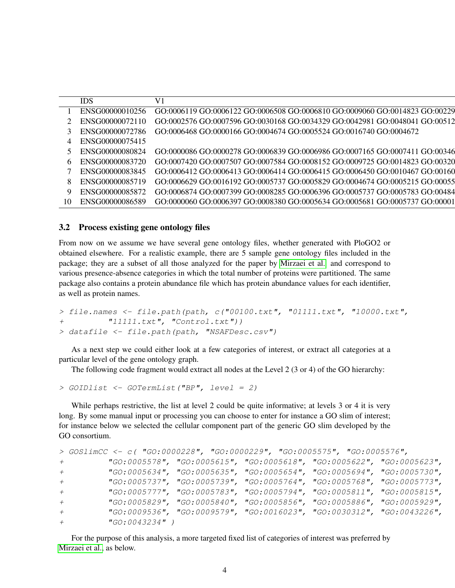|                 | ENSG00000010256 GO:0006119 GO:0006122 GO:0006508 GO:0006810 GO:0009060 GO:0014823 GO:00229    |
|-----------------|-----------------------------------------------------------------------------------------------|
|                 | ENSG00000072110 GO:0002576 GO:0007596 GO:0030168 GO:0034329 GO:0042981 GO:0048041 GO:00512    |
|                 | ENSG00000072786 GO:0006468 GO:0000166 GO:0004674 GO:0005524 GO:0016740 GO:0004672             |
| ENSG00000075415 |                                                                                               |
|                 | ENSG00000080824 GO:0000086 GO:0000278 GO:0006839 GO:0006986 GO:0007165 GO:0007411 GO:00346    |
|                 | 6 ENSG00000083720 GO:0007420 GO:0007507 GO:0007584 GO:0008152 GO:0009725 GO:0014823 GO:00320  |
|                 | ENSG00000083845 GO:0006412 GO:0006413 GO:0006414 GO:0006415 GO:0006450 GO:0010467 GO:00160    |
|                 | ENSG00000085719 GO:0006629 GO:0016192 GO:0005737 GO:0005829 GO:0004674 GO:0005215 GO:00055    |
|                 | ENSG00000085872 GO:0006874 GO:0007399 GO:0008285 GO:0006396 GO:0005737 GO:0005783 GO:00484    |
|                 | 10 ENSG00000086589 GO:0000060 GO:0006397 GO:0008380 GO:0005634 GO:0005681 GO:0005737 GO:00001 |

#### 3.2 Process existing gene ontology files

From now on we assume we have several gene ontology files, whether generated with PloGO2 or obtained elsewhere. For a realistic example, there are 5 sample gene ontology files included in the package; they are a subset of all those analyzed for the paper by [Mirzaei et al.](#page-12-1) and correspond to various presence-absence categories in which the total number of proteins were partitioned. The same package also contains a protein abundance file which has protein abundance values for each identifier, as well as protein names.

```
> file.names \le file.path(path, c("00100.txt", "01111.txt", "10000.txt",
+ "11111.txt", "Control.txt"))
> datafile <- file.path(path, "NSAFDesc.csv")
```
As a next step we could either look at a few categories of interest, or extract all categories at a particular level of the gene ontology graph.

The following code fragment would extract all nodes at the Level 2 (3 or 4) of the GO hierarchy:

```
> GOIDlist <- GOTermList("BP", level = 2)
```
While perhaps restrictive, the list at level 2 could be quite informative; at levels 3 or 4 it is very long. By some manual input or processing you can choose to enter for instance a GO slim of interest; for instance below we selected the cellular component part of the generic GO slim developed by the GO consortium.

```
> GOSlimCC <- c( "GO:0000228", "GO:0000229", "GO:0005575", "GO:0005576",
+ "GO:0005578", "GO:0005615", "GO:0005618", "GO:0005622", "GO:0005623",
+ "GO:0005634", "GO:0005635", "GO:0005654", "GO:0005694", "GO:0005730",
+ "GO:0005737", "GO:0005739", "GO:0005764", "GO:0005768", "GO:0005773",
+ "GO:0005777", "GO:0005783", "GO:0005794", "GO:0005811", "GO:0005815",
+ "GO:0005829", "GO:0005840", "GO:0005856", "GO:0005886", "GO:0005929",
+ "GO:0009536", "GO:0009579", "GO:0016023", "GO:0030312", "GO:0043226",
+ "GO:0043234" )
```
For the purpose of this analysis, a more targeted fixed list of categories of interest was preferred by [Mirzaei et al.,](#page-12-1) as below.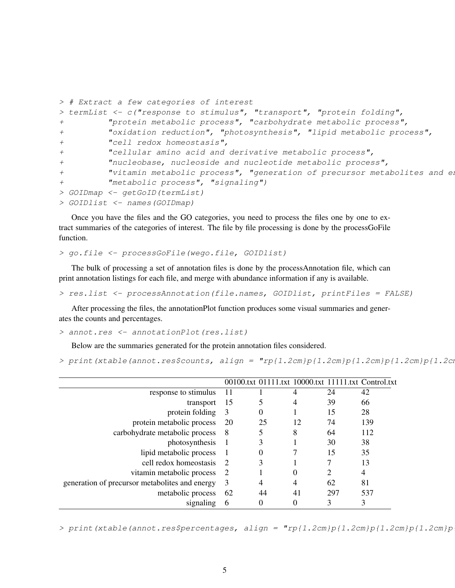```
> # Extract a few categories of interest
> termList <- c("response to stimulus", "transport", "protein folding",
+ "protein metabolic process", "carbohydrate metabolic process",
+ "oxidation reduction", "photosynthesis", "lipid metabolic process",
+ "cell redox homeostasis",
+ "cellular amino acid and derivative metabolic process",
+ "nucleobase, nucleoside and nucleotide metabolic process",
+ "vitamin metabolic process", "generation of precursor metabolites and energy
+ "metabolic process", "signaling")
> GOIDmap <- getGoID(termList)
> GOIDlist <- names(GOIDmap)
```
Once you have the files and the GO categories, you need to process the files one by one to extract summaries of the categories of interest. The file by file processing is done by the processGoFile function.

```
> go.file <- processGoFile(wego.file, GOIDlist)
```
The bulk of processing a set of annotation files is done by the processAnnotation file, which can print annotation listings for each file, and merge with abundance information if any is available.

> res.list <- processAnnotation(file.names, GOIDlist, printFiles = FALSE)

After processing the files, the annotationPlot function produces some visual summaries and generates the counts and percentages.

```
> annot.res <- annotationPlot(res.list)
```
Below are the summaries generated for the protein annotation files considered.

> print(xtable(annot.res\$counts, align = " $rp{1.2cm}p{1.2cm}p{1.2cm}p{1.2cm}p{1.2cm}$ )

|                                                |                |          |    |                | 00100.txt 01111.txt 10000.txt 11111.txt Control.txt |
|------------------------------------------------|----------------|----------|----|----------------|-----------------------------------------------------|
| response to stimulus                           | 11             |          | 4  | 24             | 42                                                  |
| transport                                      | 15             |          | 4  | 39             | 66                                                  |
| protein folding                                | 3              | 0        |    | 15             | 28                                                  |
| protein metabolic process                      | 20             | 25       | 12 | 74             | 139                                                 |
| carbohydrate metabolic process                 | - 8            | 5        | 8  | 64             | 112                                                 |
| photosynthesis                                 | $\blacksquare$ | 3        |    | 30             | 38                                                  |
| lipid metabolic process                        |                | $\theta$ |    | 15             | 35                                                  |
| cell redox homeostasis                         | $\overline{2}$ | 3        |    |                | 13                                                  |
| vitamin metabolic process                      | <sup>2</sup>   |          | 0  | $\overline{2}$ | 4                                                   |
| generation of precursor metabolites and energy | 3              | 4        | 4  | 62             | 81                                                  |
| metabolic process                              | 62             | 44       | 41 | 297            | 537                                                 |
| signaling                                      | 6              | 0        |    | 3              | 3                                                   |
|                                                |                |          |    |                |                                                     |

> print(xtable(annot.res\$percentages, align = " $rp{1.2cm}p{1.2cm}p{1.2cm}p{1.2cm}$ )p{1.2cm}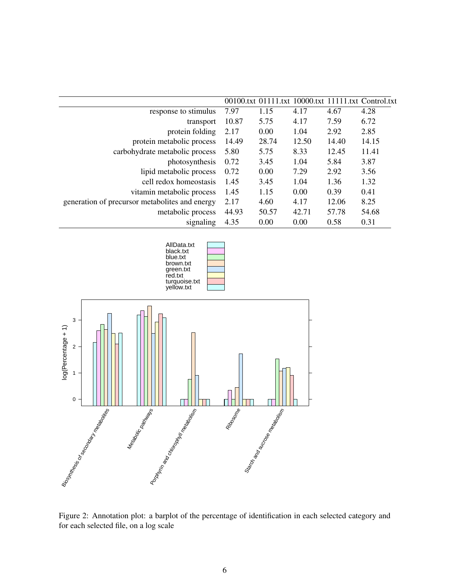|                                                |       |       |       |       | 00100.txt 01111.txt 10000.txt 11111.txt Control.txt |
|------------------------------------------------|-------|-------|-------|-------|-----------------------------------------------------|
| response to stimulus                           | 7.97  | 1.15  | 4.17  | 4.67  | 4.28                                                |
| transport                                      | 10.87 | 5.75  | 4.17  | 7.59  | 6.72                                                |
| protein folding                                | 2.17  | 0.00  | 1.04  | 2.92  | 2.85                                                |
| protein metabolic process                      | 14.49 | 28.74 | 12.50 | 14.40 | 14.15                                               |
| carbohydrate metabolic process                 | 5.80  | 5.75  | 8.33  | 12.45 | 11.41                                               |
| photosynthesis                                 | 0.72  | 3.45  | 1.04  | 5.84  | 3.87                                                |
| lipid metabolic process                        | 0.72  | 0.00  | 7.29  | 2.92  | 3.56                                                |
| cell redox homeostasis                         | 1.45  | 3.45  | 1.04  | 1.36  | 1.32                                                |
| vitamin metabolic process                      | 1.45  | 1.15  | 0.00  | 0.39  | 0.41                                                |
| generation of precursor metabolites and energy | 2.17  | 4.60  | 4.17  | 12.06 | 8.25                                                |
| metabolic process                              | 44.93 | 50.57 | 42.71 | 57.78 | 54.68                                               |
| signaling                                      | 4.35  | 0.00  | 0.00  | 0.58  | 0.31                                                |





Figure 2: Annotation plot: a barplot of the percentage of identification in each selected category and for each selected file, on a log scale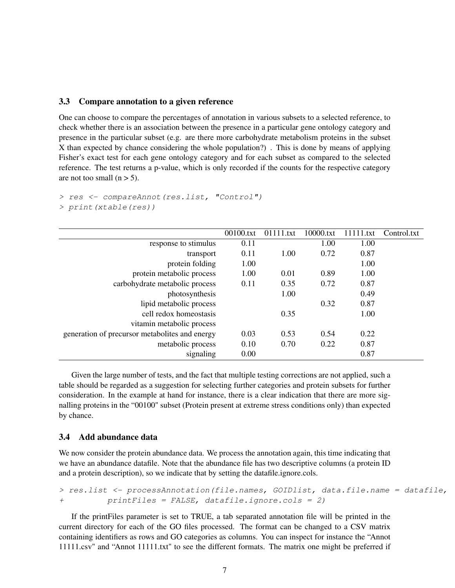#### 3.3 Compare annotation to a given reference

One can choose to compare the percentages of annotation in various subsets to a selected reference, to check whether there is an association between the presence in a particular gene ontology category and presence in the particular subset (e.g. are there more carbohydrate metabolism proteins in the subset X than expected by chance considering the whole population?) . This is done by means of applying Fisher's exact test for each gene ontology category and for each subset as compared to the selected reference. The test returns a p-value, which is only recorded if the counts for the respective category are not too small  $(n > 5)$ .

```
> res <- compareAnnot(res.list, "Control")
> print(xtable(res))
```

|                                                 | 00100.txt | 01111.txt | 10000.txt | 11111.txt | Control.txt |
|-------------------------------------------------|-----------|-----------|-----------|-----------|-------------|
| response to stimulus                            | 0.11      |           | 1.00      | 1.00      |             |
| transport                                       | 0.11      | 1.00      | 0.72      | 0.87      |             |
| protein folding                                 | 1.00      |           |           | 1.00      |             |
| protein metabolic process                       | 1.00      | 0.01      | 0.89      | 1.00      |             |
| carbohydrate metabolic process                  | 0.11      | 0.35      | 0.72      | 0.87      |             |
| photosynthesis                                  |           | 1.00      |           | 0.49      |             |
| lipid metabolic process                         |           |           | 0.32      | 0.87      |             |
| cell redox homeostasis                          |           | 0.35      |           | 1.00      |             |
| vitamin metabolic process                       |           |           |           |           |             |
| generation of precursor metabolities and energy | 0.03      | 0.53      | 0.54      | 0.22      |             |
| metabolic process                               | 0.10      | 0.70      | 0.22      | 0.87      |             |
| signaling                                       | 0.00      |           |           | 0.87      |             |

Given the large number of tests, and the fact that multiple testing corrections are not applied, such a table should be regarded as a suggestion for selecting further categories and protein subsets for further consideration. In the example at hand for instance, there is a clear indication that there are more signalling proteins in the "00100" subset (Protein present at extreme stress conditions only) than expected by chance.

#### 3.4 Add abundance data

We now consider the protein abundance data. We process the annotation again, this time indicating that we have an abundance datafile. Note that the abundance file has two descriptive columns (a protein ID and a protein description), so we indicate that by setting the datafile.ignore.cols.

```
> res.list <- processAnnotation(file.names, GOIDlist, data.file.name = datafile,
+ printFiles = FALSE, datafile.ignore.cols = 2)
```
If the printFiles parameter is set to TRUE, a tab separated annotation file will be printed in the current directory for each of the GO files processed. The format can be changed to a CSV matrix containing identifiers as rows and GO categories as columns. You can inspect for instance the "Annot 11111.csv" and "Annot 11111.txt" to see the different formats. The matrix one might be preferred if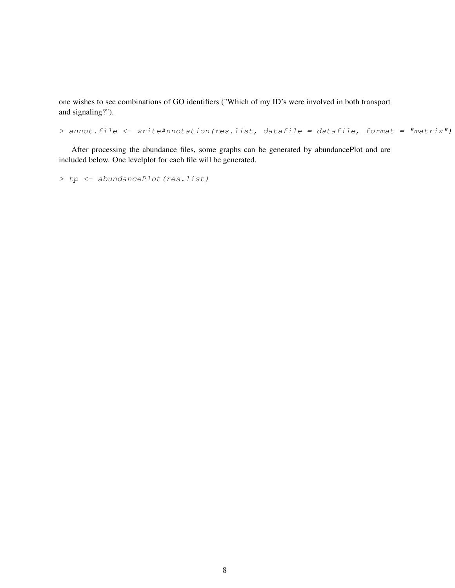one wishes to see combinations of GO identifiers ("Which of my ID's were involved in both transport and signaling?").

> annot.file <- writeAnnotation(res.list, datafile = datafile, format = "matrix")

After processing the abundance files, some graphs can be generated by abundancePlot and are included below. One levelplot for each file will be generated.

> tp <- abundancePlot(res.list)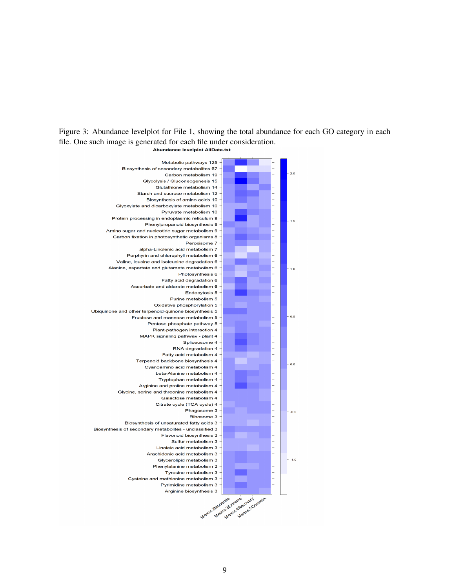Figure 3: Abundance levelplot for File 1, showing the total abundance for each GO category in each file. One such image is generated for each file under consideration.<br>Abundance levelplot AllData.txt

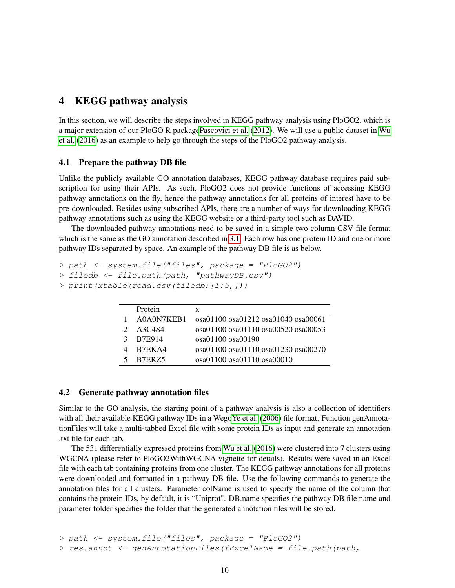# 4 KEGG pathway analysis

In this section, we will describe the steps involved in KEGG pathway analysis using PloGO2, which is a major extension of our PloGO R packag[ePascovici et al.](#page-12-0) [\(2012\)](#page-12-0). We will use a public dataset in [Wu](#page-12-2) [et al.](#page-12-2) [\(2016\)](#page-12-2) as an example to help go through the steps of the PloGO2 pathway analysis.

## 4.1 Prepare the pathway DB file

Unlike the publicly available GO annotation databases, KEGG pathway database requires paid subscription for using their APIs. As such, PloGO2 does not provide functions of accessing KEGG pathway annotations on the fly, hence the pathway annotations for all proteins of interest have to be pre-downloaded. Besides using subscribed APIs, there are a number of ways for downloading KEGG pathway annotations such as using the KEGG website or a third-party tool such as DAVID.

The downloaded pathway annotations need to be saved in a simple two-column CSV file format which is the same as the GO annotation described in [3.1.](#page-1-1) Each row has one protein ID and one or more pathway IDs separated by space. An example of the pathway DB file is as below.

```
> path <- system.file("files", package = "PloGO2")
> filedb <- file.path(path, "pathwayDB.csv")
```

```
> print(xtable(read.csv(filedb)[1:5,]))
```

| Protein    | X                                   |
|------------|-------------------------------------|
| A0A0N7KEB1 | osa01100 osa01212 osa01040 osa00061 |
| A3C4S4     | osa01100 osa01110 osa00520 osa00053 |
| B7E914     | $\cos 01100 \cos 00190$             |
| R7EKA4     | osa01100 osa01110 osa01230 osa00270 |
| 5 B7ERZ5   | $\cos 01100 \cos 01110 \cos 00010$  |
|            |                                     |

### 4.2 Generate pathway annotation files

Similar to the GO analysis, the starting point of a pathway analysis is also a collection of identifiers with all their available KEGG pathway IDs in a Weg[oYe et al.](#page-12-4) [\(2006\)](#page-12-4) file format. Function genAnnotationFiles will take a multi-tabbed Excel file with some protein IDs as input and generate an annotation .txt file for each tab.

The 531 differentially expressed proteins from [Wu et al.](#page-12-2) [\(2016\)](#page-12-2) were clustered into 7 clusters using WGCNA (please refer to PloGO2WithWGCNA vignette for details). Results were saved in an Excel file with each tab containing proteins from one cluster. The KEGG pathway annotations for all proteins were downloaded and formatted in a pathway DB file. Use the following commands to generate the annotation files for all clusters. Parameter colName is used to specify the name of the column that contains the protein IDs, by default, it is "Uniprot". DB.name specifies the pathway DB file name and parameter folder specifies the folder that the generated annotation files will be stored.

```
> path <- system.file("files", package = "PloGO2")
> res.annot <- genAnnotationFiles (fExcelName = file.path(path,
```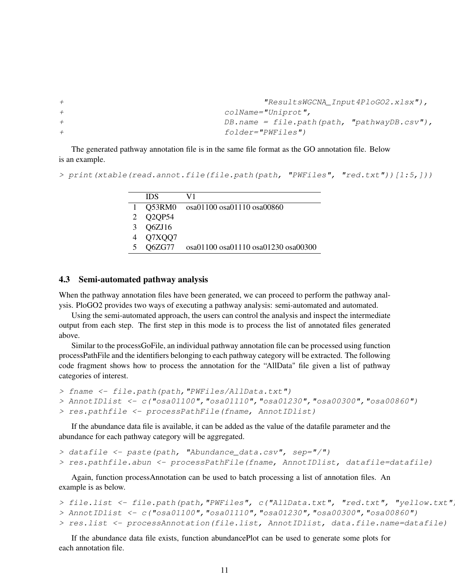```
+ "ResultsWGCNA_Input4PloGO2.xlsx"),
+ colName="Uniprot",
+ DB.name = file.path(path, "pathwayDB.csv"),
+ folder="PWFiles")
```
The generated pathway annotation file is in the same file format as the GO annotation file. Below is an example.

```
> print(xtable(read.annot.file(file.path(path, "PWFiles", "red.txt"))[1:5,]))
```

| <b>IDS</b> | V1                                  |
|------------|-------------------------------------|
| Q53RM0     | osa01100 osa01110 osa00860          |
| Q2QP54     |                                     |
| Q6ZJ16     |                                     |
| Q7XQQ7     |                                     |
| Q6ZG77     | osa01100 osa01110 osa01230 osa00300 |

## 4.3 Semi-automated pathway analysis

When the pathway annotation files have been generated, we can proceed to perform the pathway analysis. PloGO2 provides two ways of executing a pathway analysis: semi-automated and automated.

Using the semi-automated approach, the users can control the analysis and inspect the intermediate output from each step. The first step in this mode is to process the list of annotated files generated above.

Similar to the processGoFile, an individual pathway annotation file can be processed using function processPathFile and the identifiers belonging to each pathway category will be extracted. The following code fragment shows how to process the annotation for the "AllData" file given a list of pathway categories of interest.

```
> fname <- file.path(path,"PWFiles/AllData.txt")
> AnnotIDlist <- c("osa01100","osa01110","osa01230","osa00300","osa00860")
```
> res.pathfile <- processPathFile(fname, AnnotIDlist)

If the abundance data file is available, it can be added as the value of the datafile parameter and the abundance for each pathway category will be aggregated.

```
> datafile <- paste(path, "Abundance_data.csv", sep="/")
> res.pathfile.abun <- processPathFile(fname, AnnotIDlist, datafile=datafile)
```
Again, function processAnnotation can be used to batch processing a list of annotation files. An example is as below.

```
> file.list <- file.path(path, "PWFiles", c("AllData.txt", "red.txt", "yellow.txt"
> AnnotIDlist <- c("osa01100","osa01110","osa01230","osa00300","osa00860")
> res.list <- processAnnotation(file.list, AnnotIDlist, data.file.name=datafile)
```
If the abundance data file exists, function abundancePlot can be used to generate some plots for each annotation file.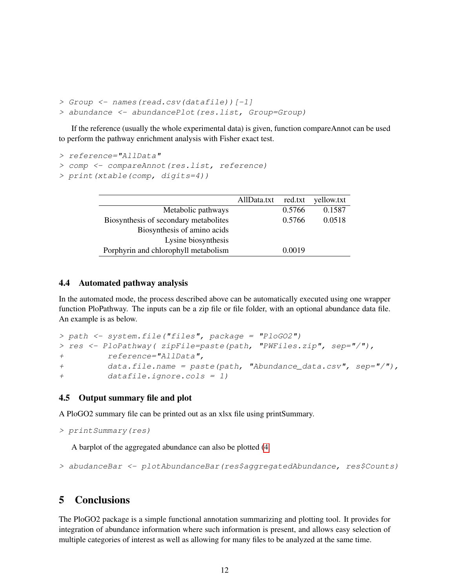```
> Group <- names(read.csv(datafile))[-1]
> abundance <- abundancePlot(res.list, Group=Group)
```
If the reference (usually the whole experimental data) is given, function compareAnnot can be used to perform the pathway enrichment analysis with Fisher exact test.

```
> reference="AllData"
> comp <- compareAnnot(res.list, reference)
```

```
> print(xtable(comp, digits=4))
```

|                                       | AllData.txt | red.txt | yellow.txt |
|---------------------------------------|-------------|---------|------------|
| Metabolic pathways                    |             | 0.5766  | 0.1587     |
| Biosynthesis of secondary metabolites |             | 0.5766  | 0.0518     |
| Biosynthesis of amino acids           |             |         |            |
| Lysine biosynthesis                   |             |         |            |
| Porphyrin and chlorophyll metabolism  |             | 0.0019  |            |

## 4.4 Automated pathway analysis

In the automated mode, the process described above can be automatically executed using one wrapper function PloPathway. The inputs can be a zip file or file folder, with an optional abundance data file. An example is as below.

```
> path <- system.file("files", package = "PloGO2")
> res <- PloPathway( zipFile=paste(path, "PWFiles.zip", sep="/"),
+ reference="AllData",
+ data.file.name = paste(path, "Abundance_data.csv", sep="/"),
+ datafile.ignore.cols = 1)
```
# 4.5 Output summary file and plot

A PloGO2 summary file can be printed out as an xlsx file using printSummary.

```
> printSummary(res)
```
A barplot of the aggregated abundance can also be plotted [\(4.](#page-12-5)

```
> abudanceBar <- plotAbundanceBar(res$aggregatedAbundance, res$Counts)
```
# 5 Conclusions

The PloGO2 package is a simple functional annotation summarizing and plotting tool. It provides for integration of abundance information where such information is present, and allows easy selection of multiple categories of interest as well as allowing for many files to be analyzed at the same time.